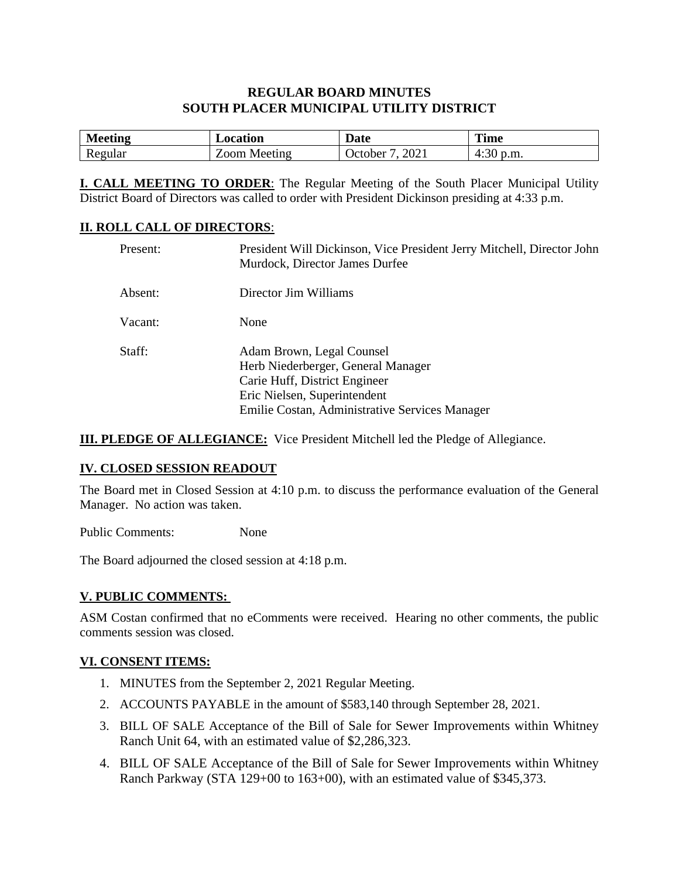### **REGULAR BOARD MINUTES SOUTH PLACER MUNICIPAL UTILITY DISTRICT**

| <b>N</b><br>eeting | ocation         | Date                               | <b>Time</b>                   |
|--------------------|-----------------|------------------------------------|-------------------------------|
| egular<br>11 V     | ഹന്ന<br>Meeting | 202 <sub>1</sub><br><b>C</b> tober | $\sim$<br>p.m.<br>. .<br>7.JU |

**I. CALL MEETING TO ORDER**: The Regular Meeting of the South Placer Municipal Utility District Board of Directors was called to order with President Dickinson presiding at 4:33 p.m.

### **II. ROLL CALL OF DIRECTORS**:

| Present: | President Will Dickinson, Vice President Jerry Mitchell, Director John<br>Murdock, Director James Durfee                                                                           |
|----------|------------------------------------------------------------------------------------------------------------------------------------------------------------------------------------|
| Absent:  | Director Jim Williams                                                                                                                                                              |
| Vacant:  | None                                                                                                                                                                               |
| Staff:   | Adam Brown, Legal Counsel<br>Herb Niederberger, General Manager<br>Carie Huff, District Engineer<br>Eric Nielsen, Superintendent<br>Emilie Costan, Administrative Services Manager |

**III. PLEDGE OF ALLEGIANCE:** Vice President Mitchell led the Pledge of Allegiance.

### **IV. CLOSED SESSION READOUT**

The Board met in Closed Session at 4:10 p.m. to discuss the performance evaluation of the General Manager. No action was taken.

Public Comments: None

The Board adjourned the closed session at 4:18 p.m.

### **V. PUBLIC COMMENTS:**

ASM Costan confirmed that no eComments were received. Hearing no other comments, the public comments session was closed.

### **VI. CONSENT ITEMS:**

- 1. MINUTES from the September 2, 2021 Regular Meeting.
- 2. ACCOUNTS PAYABLE in the amount of \$583,140 through September 28, 2021.
- 3. BILL OF SALE Acceptance of the Bill of Sale for Sewer Improvements within Whitney Ranch Unit 64, with an estimated value of \$2,286,323.
- 4. BILL OF SALE Acceptance of the Bill of Sale for Sewer Improvements within Whitney Ranch Parkway (STA 129+00 to 163+00), with an estimated value of \$345,373.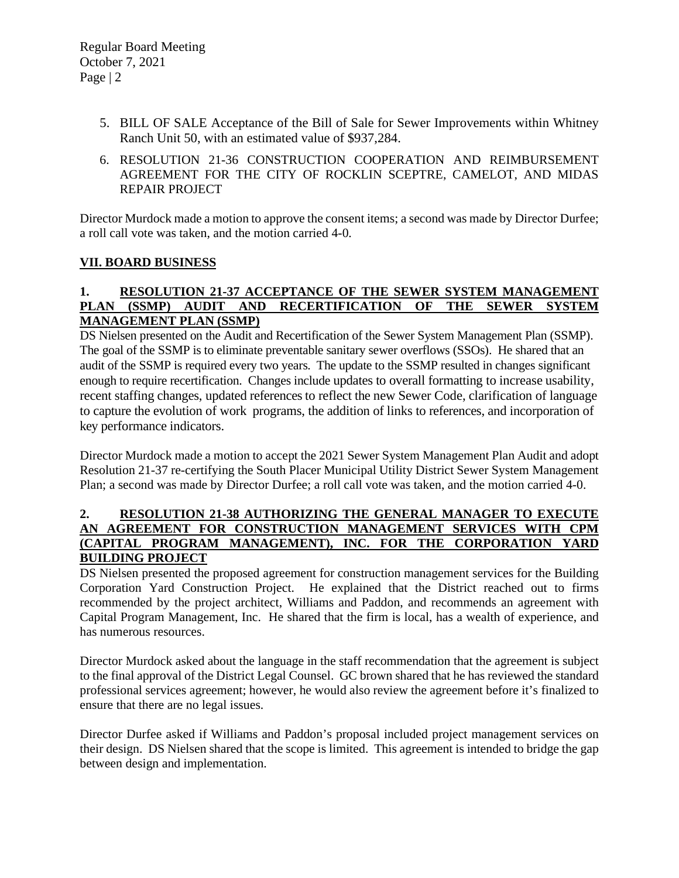- 5. BILL OF SALE Acceptance of the Bill of Sale for Sewer Improvements within Whitney Ranch Unit 50, with an estimated value of \$937,284.
- 6. RESOLUTION 21-36 CONSTRUCTION COOPERATION AND REIMBURSEMENT AGREEMENT FOR THE CITY OF ROCKLIN SCEPTRE, CAMELOT, AND MIDAS REPAIR PROJECT

Director Murdock made a motion to approve the consent items; a second was made by Director Durfee; a roll call vote was taken, and the motion carried 4-0.

# **VII. BOARD BUSINESS**

### **1. RESOLUTION 21-37 ACCEPTANCE OF THE SEWER SYSTEM MANAGEMENT PLAN (SSMP) AUDIT AND RECERTIFICATION OF THE SEWER SYSTEM MANAGEMENT PLAN (SSMP)**

DS Nielsen presented on the Audit and Recertification of the Sewer System Management Plan (SSMP). The goal of the SSMP is to eliminate preventable sanitary sewer overflows (SSOs). He shared that an audit of the SSMP is required every two years. The update to the SSMP resulted in changes significant enough to require recertification. Changes include updates to overall formatting to increase usability, recent staffing changes, updated references to reflect the new Sewer Code, clarification of language to capture the evolution of work programs, the addition of links to references, and incorporation of key performance indicators.

Director Murdock made a motion to accept the 2021 Sewer System Management Plan Audit and adopt Resolution 21-37 re-certifying the South Placer Municipal Utility District Sewer System Management Plan; a second was made by Director Durfee; a roll call vote was taken, and the motion carried 4-0.

#### **2. RESOLUTION 21-38 AUTHORIZING THE GENERAL MANAGER TO EXECUTE AN AGREEMENT FOR CONSTRUCTION MANAGEMENT SERVICES WITH CPM (CAPITAL PROGRAM MANAGEMENT), INC. FOR THE CORPORATION YARD BUILDING PROJECT**

DS Nielsen presented the proposed agreement for construction management services for the Building Corporation Yard Construction Project. He explained that the District reached out to firms recommended by the project architect, Williams and Paddon, and recommends an agreement with Capital Program Management, Inc. He shared that the firm is local, has a wealth of experience, and has numerous resources.

Director Murdock asked about the language in the staff recommendation that the agreement is subject to the final approval of the District Legal Counsel. GC brown shared that he has reviewed the standard professional services agreement; however, he would also review the agreement before it's finalized to ensure that there are no legal issues.

Director Durfee asked if Williams and Paddon's proposal included project management services on their design. DS Nielsen shared that the scope is limited. This agreement is intended to bridge the gap between design and implementation.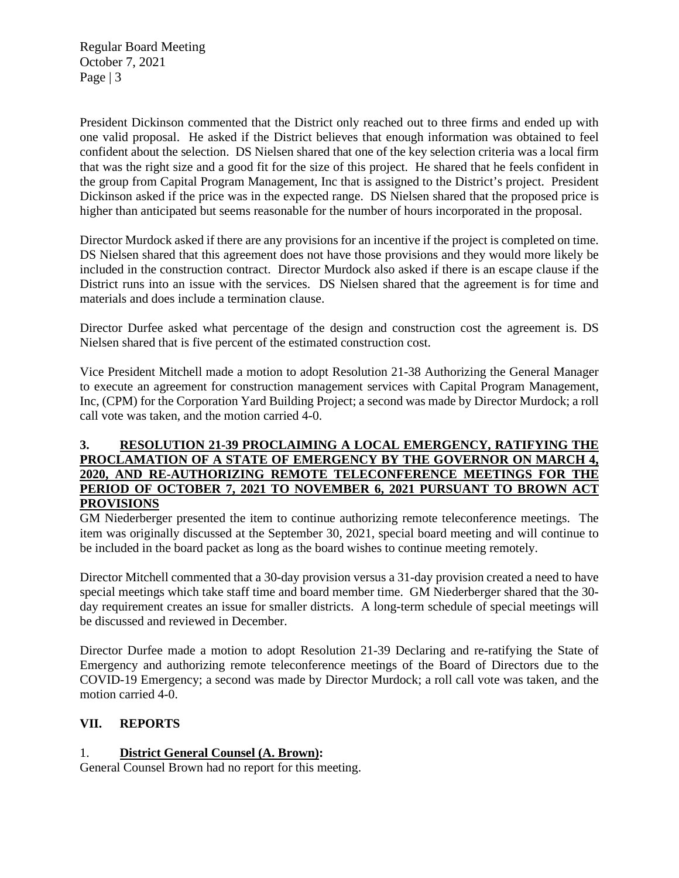Regular Board Meeting October 7, 2021 Page | 3

President Dickinson commented that the District only reached out to three firms and ended up with one valid proposal. He asked if the District believes that enough information was obtained to feel confident about the selection. DS Nielsen shared that one of the key selection criteria was a local firm that was the right size and a good fit for the size of this project. He shared that he feels confident in the group from Capital Program Management, Inc that is assigned to the District's project. President Dickinson asked if the price was in the expected range. DS Nielsen shared that the proposed price is higher than anticipated but seems reasonable for the number of hours incorporated in the proposal.

Director Murdock asked if there are any provisions for an incentive if the project is completed on time. DS Nielsen shared that this agreement does not have those provisions and they would more likely be included in the construction contract. Director Murdock also asked if there is an escape clause if the District runs into an issue with the services. DS Nielsen shared that the agreement is for time and materials and does include a termination clause.

Director Durfee asked what percentage of the design and construction cost the agreement is. DS Nielsen shared that is five percent of the estimated construction cost.

Vice President Mitchell made a motion to adopt Resolution 21-38 Authorizing the General Manager to execute an agreement for construction management services with Capital Program Management, Inc, (CPM) for the Corporation Yard Building Project; a second was made by Director Murdock; a roll call vote was taken, and the motion carried 4-0.

### **3. RESOLUTION 21-39 PROCLAIMING A LOCAL EMERGENCY, RATIFYING THE PROCLAMATION OF A STATE OF EMERGENCY BY THE GOVERNOR ON MARCH 4, 2020, AND RE-AUTHORIZING REMOTE TELECONFERENCE MEETINGS FOR THE PERIOD OF OCTOBER 7, 2021 TO NOVEMBER 6, 2021 PURSUANT TO BROWN ACT PROVISIONS**

GM Niederberger presented the item to continue authorizing remote teleconference meetings. The item was originally discussed at the September 30, 2021, special board meeting and will continue to be included in the board packet as long as the board wishes to continue meeting remotely.

Director Mitchell commented that a 30-day provision versus a 31-day provision created a need to have special meetings which take staff time and board member time. GM Niederberger shared that the 30 day requirement creates an issue for smaller districts. A long-term schedule of special meetings will be discussed and reviewed in December.

Director Durfee made a motion to adopt Resolution 21-39 Declaring and re-ratifying the State of Emergency and authorizing remote teleconference meetings of the Board of Directors due to the COVID-19 Emergency; a second was made by Director Murdock; a roll call vote was taken, and the motion carried 4-0.

# **VII. REPORTS**

# 1. **District General Counsel (A. Brown):**

General Counsel Brown had no report for this meeting.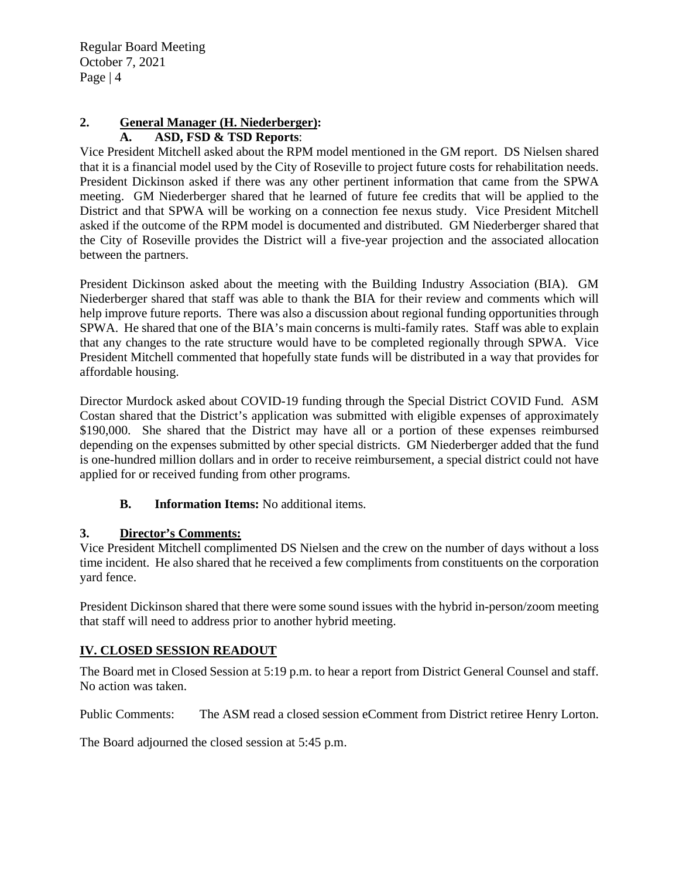Regular Board Meeting October 7, 2021 Page  $|4$ 

#### **2. General Manager (H. Niederberger): A. ASD, FSD & TSD Reports**:

Vice President Mitchell asked about the RPM model mentioned in the GM report. DS Nielsen shared that it is a financial model used by the City of Roseville to project future costs for rehabilitation needs. President Dickinson asked if there was any other pertinent information that came from the SPWA meeting. GM Niederberger shared that he learned of future fee credits that will be applied to the District and that SPWA will be working on a connection fee nexus study. Vice President Mitchell asked if the outcome of the RPM model is documented and distributed. GM Niederberger shared that the City of Roseville provides the District will a five-year projection and the associated allocation between the partners.

President Dickinson asked about the meeting with the Building Industry Association (BIA). GM Niederberger shared that staff was able to thank the BIA for their review and comments which will help improve future reports. There was also a discussion about regional funding opportunities through SPWA. He shared that one of the BIA's main concerns is multi-family rates. Staff was able to explain that any changes to the rate structure would have to be completed regionally through SPWA. Vice President Mitchell commented that hopefully state funds will be distributed in a way that provides for affordable housing.

Director Murdock asked about COVID-19 funding through the Special District COVID Fund. ASM Costan shared that the District's application was submitted with eligible expenses of approximately \$190,000. She shared that the District may have all or a portion of these expenses reimbursed depending on the expenses submitted by other special districts. GM Niederberger added that the fund is one-hundred million dollars and in order to receive reimbursement, a special district could not have applied for or received funding from other programs.

# **B. Information Items:** No additional items.

# **3. Director's Comments:**

Vice President Mitchell complimented DS Nielsen and the crew on the number of days without a loss time incident. He also shared that he received a few compliments from constituents on the corporation yard fence.

President Dickinson shared that there were some sound issues with the hybrid in-person/zoom meeting that staff will need to address prior to another hybrid meeting.

# **IV. CLOSED SESSION READOUT**

The Board met in Closed Session at 5:19 p.m. to hear a report from District General Counsel and staff. No action was taken.

Public Comments: The ASM read a closed session eComment from District retiree Henry Lorton.

The Board adjourned the closed session at 5:45 p.m.